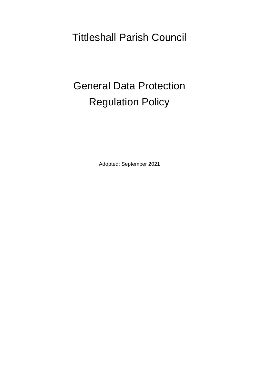Tittleshall Parish Council

# General Data Protection Regulation Policy

Adopted: September 2021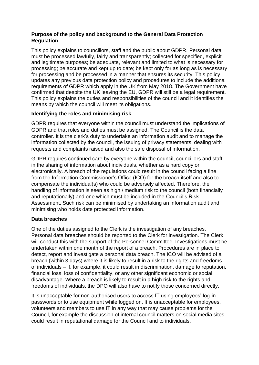### **Purpose of the policy and background to the General Data Protection Regulation**

This policy explains to councillors, staff and the public about GDPR. Personal data must be processed lawfully, fairly and transparently; collected for specified, explicit and legitimate purposes; be adequate, relevant and limited to what is necessary for processing; be accurate and kept up to date; be kept only for as long as is necessary for processing and be processed in a manner that ensures its security. This policy updates any previous data protection policy and procedures to include the additional requirements of GDPR which apply in the UK from May 2018. The Government have confirmed that despite the UK leaving the EU, GDPR will still be a legal requirement. This policy explains the duties and responsibilities of the council and it identifies the means by which the council will meet its obligations.

### **Identifying the roles and minimising risk**

GDPR requires that everyone within the council must understand the implications of GDPR and that roles and duties must be assigned. The Council is the data controller. It is the clerk's duty to undertake an information audit and to manage the information collected by the council, the issuing of privacy statements, dealing with requests and complaints raised and also the safe disposal of information.

GDPR requires continued care by everyone within the council, councillors and staff, in the sharing of information about individuals, whether as a hard copy or electronically. A breach of the regulations could result in the council facing a fine from the Information Commissioner's Office (ICO) for the breach itself and also to compensate the individual(s) who could be adversely affected. Therefore, the handling of information is seen as high / medium risk to the council (both financially and reputationally) and one which must be included in the Council's Risk Assessment. Such risk can be minimised by undertaking an information audit and minimising who holds date protected information.

### **Data breaches**

One of the duties assigned to the Clerk is the investigation of any breaches. Personal data breaches should be reported to the Clerk for investigation. The Clerk will conduct this with the support of the Personnel Committee. Investigations must be undertaken within one month of the report of a breach. Procedures are in place to detect, report and investigate a personal data breach. The ICO will be advised of a breach (within 3 days) where it is likely to result in a risk to the rights and freedoms of individuals – if, for example, it could result in discrimination, damage to reputation, financial loss, loss of confidentiality, or any other significant economic or social disadvantage. Where a breach is likely to result in a high risk to the rights and freedoms of individuals, the DPO will also have to notify those concerned directly.

It is unacceptable for non-authorised users to access IT using employees' log-in passwords or to use equipment while logged on. It is unacceptable for employees, volunteers and members to use IT in any way that may cause problems for the Council, for example the discussion of internal council matters on social media sites could result in reputational damage for the Council and to individuals.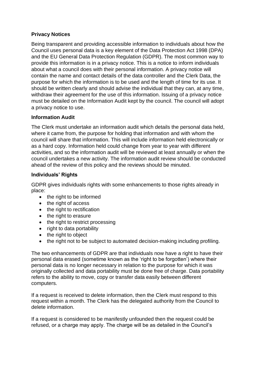### **Privacy Notices**

Being transparent and providing accessible information to individuals about how the Council uses personal data is a key element of the Data Protection Act 1998 (DPA) and the EU General Data Protection Regulation (GDPR). The most common way to provide this information is in a privacy notice. This is a notice to inform individuals about what a council does with their personal information. A privacy notice will contain the name and contact details of the data controller and the Clerk Data, the purpose for which the information is to be used and the length of time for its use. It should be written clearly and should advise the individual that they can, at any time, withdraw their agreement for the use of this information. Issuing of a privacy notice must be detailed on the Information Audit kept by the council. The council will adopt a privacy notice to use.

### **Information Audit**

The Clerk must undertake an information audit which details the personal data held, where it came from, the purpose for holding that information and with whom the council will share that information. This will include information held electronically or as a hard copy. Information held could change from year to year with different activities, and so the information audit will be reviewed at least annually or when the council undertakes a new activity. The information audit review should be conducted ahead of the review of this policy and the reviews should be minuted.

### **Individuals' Rights**

GDPR gives individuals rights with some enhancements to those rights already in place:

- the right to be informed
- the right of access
- the right to rectification
- the right to erasure
- the right to restrict processing
- right to data portability
- the right to object
- the right not to be subject to automated decision-making including profiling.

The two enhancements of GDPR are that individuals now have a right to have their personal data erased (sometime known as the 'right to be forgotten') where their personal data is no longer necessary in relation to the purpose for which it was originally collected and data portability must be done free of charge. Data portability refers to the ability to move, copy or transfer data easily between different computers.

If a request is received to delete information, then the Clerk must respond to this request within a month. The Clerk has the delegated authority from the Council to delete information.

If a request is considered to be manifestly unfounded then the request could be refused, or a charge may apply. The charge will be as detailed in the Council's